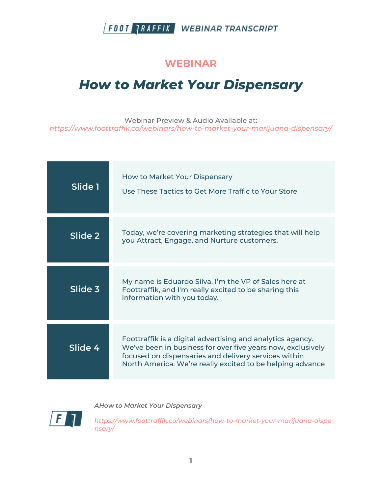

#### **WEBINAR**

# *How to Market Your Dispensary*

Webinar Preview & Audio Available at: *https://www.foottraffik.co/webinars/how-to-market-your-marijuana-dispensary/*

| Slide 1 | How to Market Your Dispensary<br>Use These Tactics to Get More Traffic to Your Store                                                                                                                                                           |
|---------|------------------------------------------------------------------------------------------------------------------------------------------------------------------------------------------------------------------------------------------------|
| Slide 2 | Today, we're covering marketing strategies that will help<br>you Attract, Engage, and Nurture customers.                                                                                                                                       |
| Slide 3 | My name is Eduardo Silva. I'm the VP of Sales here at<br>Foottraffik, and I'm really excited to be sharing this<br>information with you today.                                                                                                 |
| Slide 4 | Foottraffik is a digital advertising and analytics agency.<br>We've been in business for over five years now, exclusively<br>focused on dispensaries and delivery services within<br>North America. We're really excited to be helping advance |



*AHow to Market Your Dispensary*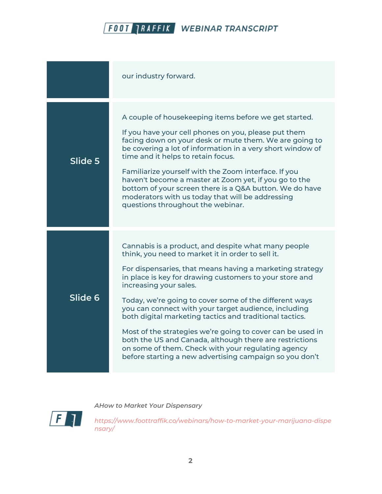|         | our industry forward.                                                                                                                                                                                                                                                                                                                                                                                                                                                                                                                                                                                                                                                            |
|---------|----------------------------------------------------------------------------------------------------------------------------------------------------------------------------------------------------------------------------------------------------------------------------------------------------------------------------------------------------------------------------------------------------------------------------------------------------------------------------------------------------------------------------------------------------------------------------------------------------------------------------------------------------------------------------------|
| Slide 5 | A couple of housekeeping items before we get started.<br>If you have your cell phones on you, please put them<br>facing down on your desk or mute them. We are going to<br>be covering a lot of information in a very short window of<br>time and it helps to retain focus.<br>Familiarize yourself with the Zoom interface. If you<br>haven't become a master at Zoom yet, if you go to the<br>bottom of your screen there is a Q&A button. We do have<br>moderators with us today that will be addressing<br>questions throughout the webinar.                                                                                                                                 |
| Slide 6 | Cannabis is a product, and despite what many people<br>think, you need to market it in order to sell it.<br>For dispensaries, that means having a marketing strategy<br>in place is key for drawing customers to your store and<br>increasing your sales.<br>Today, we're going to cover some of the different ways<br>you can connect with your target audience, including<br>both digital marketing tactics and traditional tactics.<br>Most of the strategies we're going to cover can be used in<br>both the US and Canada, although there are restrictions<br>on some of them. Check with your regulating agency<br>before starting a new advertising campaign so you don't |



*AHow to Market Your Dispensary*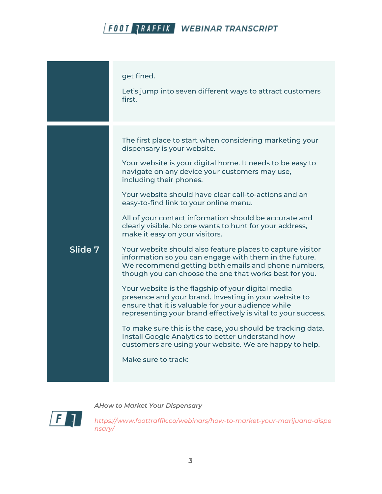|         | get fined.<br>Let's jump into seven different ways to attract customers<br>first.                                                                                                                                                                                                                                                                                                                                                                                                                                                                                                                                                                                                                                                                                                                                                                                                                                                                                                                                                                                                                                                                                                |
|---------|----------------------------------------------------------------------------------------------------------------------------------------------------------------------------------------------------------------------------------------------------------------------------------------------------------------------------------------------------------------------------------------------------------------------------------------------------------------------------------------------------------------------------------------------------------------------------------------------------------------------------------------------------------------------------------------------------------------------------------------------------------------------------------------------------------------------------------------------------------------------------------------------------------------------------------------------------------------------------------------------------------------------------------------------------------------------------------------------------------------------------------------------------------------------------------|
| Slide 7 | The first place to start when considering marketing your<br>dispensary is your website.<br>Your website is your digital home. It needs to be easy to<br>navigate on any device your customers may use,<br>including their phones.<br>Your website should have clear call-to-actions and an<br>easy-to-find link to your online menu.<br>All of your contact information should be accurate and<br>clearly visible. No one wants to hunt for your address,<br>make it easy on your visitors.<br>Your website should also feature places to capture visitor<br>information so you can engage with them in the future.<br>We recommend getting both emails and phone numbers,<br>though you can choose the one that works best for you.<br>Your website is the flagship of your digital media<br>presence and your brand. Investing in your website to<br>ensure that it is valuable for your audience while<br>representing your brand effectively is vital to your success.<br>To make sure this is the case, you should be tracking data.<br>Install Google Analytics to better understand how<br>customers are using your website. We are happy to help.<br>Make sure to track: |



*AHow to Market Your Dispensary*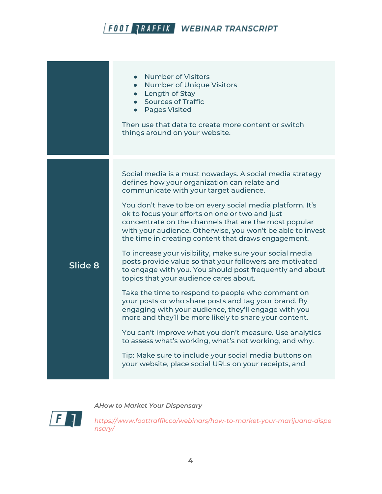|         | <b>Number of Visitors</b><br><b>Number of Unique Visitors</b><br>• Length of Stay<br>• Sources of Traffic<br><b>Pages Visited</b><br>Then use that data to create more content or switch<br>things around on your website.                                                                                                                                                                                                                                                                                                                                                                                                                                                                                                                                                                                                                                                                                                                                                                                                                                                                                                                            |
|---------|-------------------------------------------------------------------------------------------------------------------------------------------------------------------------------------------------------------------------------------------------------------------------------------------------------------------------------------------------------------------------------------------------------------------------------------------------------------------------------------------------------------------------------------------------------------------------------------------------------------------------------------------------------------------------------------------------------------------------------------------------------------------------------------------------------------------------------------------------------------------------------------------------------------------------------------------------------------------------------------------------------------------------------------------------------------------------------------------------------------------------------------------------------|
| Slide 8 | Social media is a must nowadays. A social media strategy<br>defines how your organization can relate and<br>communicate with your target audience.<br>You don't have to be on every social media platform. It's<br>ok to focus your efforts on one or two and just<br>concentrate on the channels that are the most popular<br>with your audience. Otherwise, you won't be able to invest<br>the time in creating content that draws engagement.<br>To increase your visibility, make sure your social media<br>posts provide value so that your followers are motivated<br>to engage with you. You should post frequently and about<br>topics that your audience cares about.<br>Take the time to respond to people who comment on<br>your posts or who share posts and tag your brand. By<br>engaging with your audience, they'll engage with you<br>more and they'll be more likely to share your content.<br>You can't improve what you don't measure. Use analytics<br>to assess what's working, what's not working, and why.<br>Tip: Make sure to include your social media buttons on<br>your website, place social URLs on your receipts, and |



*AHow to Market Your Dispensary*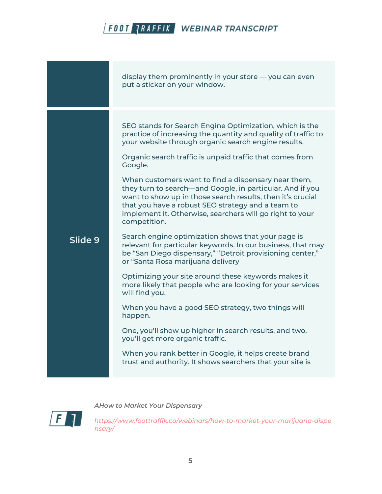|         | display them prominently in your store — you can even<br>put a sticker on your window.                                                                                                                                                                                                                                                                                                                                                                                                                                                                                                                                                                                                                                                                                                                                                                                                                                                                                                                                                                                                                                                                                                                                      |
|---------|-----------------------------------------------------------------------------------------------------------------------------------------------------------------------------------------------------------------------------------------------------------------------------------------------------------------------------------------------------------------------------------------------------------------------------------------------------------------------------------------------------------------------------------------------------------------------------------------------------------------------------------------------------------------------------------------------------------------------------------------------------------------------------------------------------------------------------------------------------------------------------------------------------------------------------------------------------------------------------------------------------------------------------------------------------------------------------------------------------------------------------------------------------------------------------------------------------------------------------|
| Slide 9 | SEO stands for Search Engine Optimization, which is the<br>practice of increasing the quantity and quality of traffic to<br>your website through organic search engine results.<br>Organic search traffic is unpaid traffic that comes from<br>Google.<br>When customers want to find a dispensary near them,<br>they turn to search—and Google, in particular. And if you<br>want to show up in those search results, then it's crucial<br>that you have a robust SEO strategy and a team to<br>implement it. Otherwise, searchers will go right to your<br>competition.<br>Search engine optimization shows that your page is<br>relevant for particular keywords. In our business, that may<br>be "San Diego dispensary," "Detroit provisioning center,"<br>or "Santa Rosa marijuana delivery<br>Optimizing your site around these keywords makes it<br>more likely that people who are looking for your services<br>will find you.<br>When you have a good SEO strategy, two things will<br>happen.<br>One, you'll show up higher in search results, and two,<br>you'll get more organic traffic.<br>When you rank better in Google, it helps create brand<br>trust and authority. It shows searchers that your site is |



*AHow to Market Your Dispensary*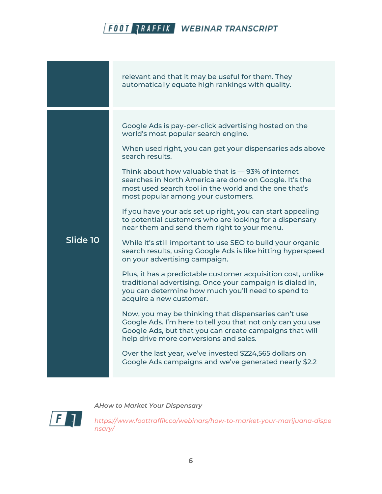|          | relevant and that it may be useful for them. They<br>automatically equate high rankings with quality.                                                                                                                                                                                      |
|----------|--------------------------------------------------------------------------------------------------------------------------------------------------------------------------------------------------------------------------------------------------------------------------------------------|
| Slide 10 | Google Ads is pay-per-click advertising hosted on the<br>world's most popular search engine.                                                                                                                                                                                               |
|          | When used right, you can get your dispensaries ads above<br>search results.<br>Think about how valuable that is - 93% of internet<br>searches in North America are done on Google. It's the<br>most used search tool in the world and the one that's<br>most popular among your customers. |
|          | If you have your ads set up right, you can start appealing<br>to potential customers who are looking for a dispensary<br>near them and send them right to your menu.                                                                                                                       |
|          | While it's still important to use SEO to build your organic<br>search results, using Google Ads is like hitting hyperspeed<br>on your advertising campaign.                                                                                                                                |
|          | Plus, it has a predictable customer acquisition cost, unlike<br>traditional advertising. Once your campaign is dialed in,<br>you can determine how much you'll need to spend to<br>acquire a new customer.                                                                                 |
|          | Now, you may be thinking that dispensaries can't use<br>Google Ads. I'm here to tell you that not only can you use<br>Google Ads, but that you can create campaigns that will<br>help drive more conversions and sales.                                                                    |
|          | Over the last year, we've invested \$224,565 dollars on<br>Google Ads campaigns and we've generated nearly \$2.2                                                                                                                                                                           |



*AHow to Market Your Dispensary*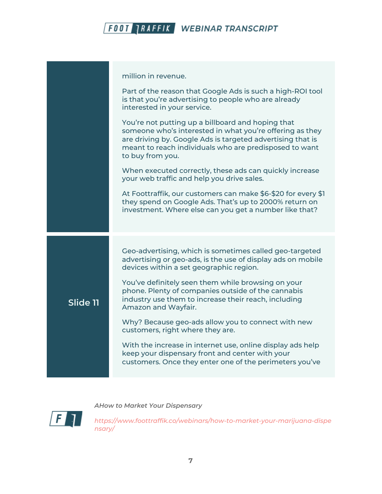

million in revenue. Part of the reason that Google Ads is such a high-ROI tool is that you're advertising to people who are already interested in your service. You're not putting up a billboard and hoping that someone who's interested in what you're offering as they are driving by. Google Ads is targeted advertising that is meant to reach individuals who are predisposed to want to buy from you. When executed correctly, these ads can quickly increase your web traffic and help you drive sales. At Foottraffik, our customers can make \$6-\$20 for every \$1 they spend on Google Ads. That's up to 2000% return on investment. Where else can you get a number like that? **Slide 11** Geo-advertising, which is sometimes called geo-targeted advertising or geo-ads, is the use of display ads on mobile devices within a set geographic region. You've definitely seen them while browsing on your phone. Plenty of companies outside of the cannabis industry use them to increase their reach, including Amazon and Wayfair. Why? Because geo-ads allow you to connect with new customers, right where they are. With the increase in internet use, online display ads help keep your dispensary front and center with your customers. Once they enter one of the perimeters you've



*AHow to Market Your Dispensary*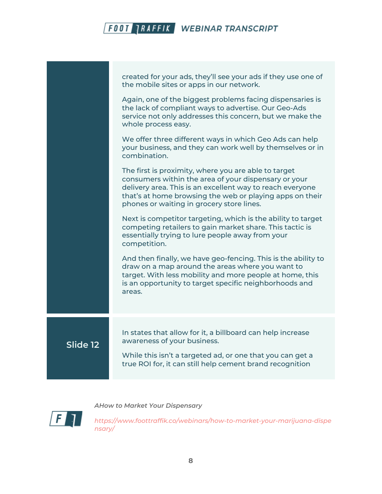|          | created for your ads, they'll see your ads if they use one of<br>the mobile sites or apps in our network.                                                                                                                                                                          |
|----------|------------------------------------------------------------------------------------------------------------------------------------------------------------------------------------------------------------------------------------------------------------------------------------|
|          | Again, one of the biggest problems facing dispensaries is<br>the lack of compliant ways to advertise. Our Geo-Ads<br>service not only addresses this concern, but we make the<br>whole process easy.                                                                               |
|          | We offer three different ways in which Geo Ads can help<br>your business, and they can work well by themselves or in<br>combination.                                                                                                                                               |
|          | The first is proximity, where you are able to target<br>consumers within the area of your dispensary or your<br>delivery area. This is an excellent way to reach everyone<br>that's at home browsing the web or playing apps on their<br>phones or waiting in grocery store lines. |
|          | Next is competitor targeting, which is the ability to target<br>competing retailers to gain market share. This tactic is<br>essentially trying to lure people away from your<br>competition.                                                                                       |
|          | And then finally, we have geo-fencing. This is the ability to<br>draw on a map around the areas where you want to<br>target. With less mobility and more people at home, this<br>is an opportunity to target specific neighborhoods and<br>areas.                                  |
| Slide 12 | In states that allow for it, a billboard can help increase<br>awareness of your business.                                                                                                                                                                                          |
|          | While this isn't a targeted ad, or one that you can get a<br>true ROI for, it can still help cement brand recognition                                                                                                                                                              |
|          |                                                                                                                                                                                                                                                                                    |



*https://www.foottraffik.co/webinars/how-to-market-your-marijuana-dispe nsary/*

*AHow to Market Your Dispensary*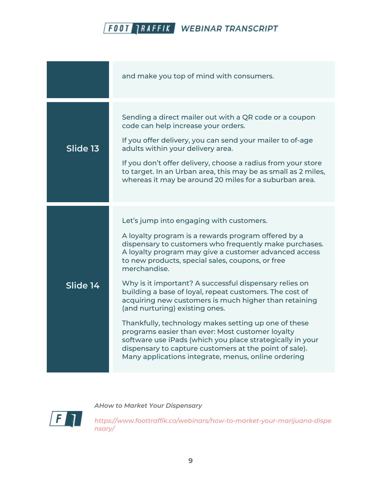|          | and make you top of mind with consumers.                                                                                                                                                                                                                                                                                                                                                                                                                                                                                                                                                                                                                                                                                                                                                         |
|----------|--------------------------------------------------------------------------------------------------------------------------------------------------------------------------------------------------------------------------------------------------------------------------------------------------------------------------------------------------------------------------------------------------------------------------------------------------------------------------------------------------------------------------------------------------------------------------------------------------------------------------------------------------------------------------------------------------------------------------------------------------------------------------------------------------|
| Slide 13 | Sending a direct mailer out with a QR code or a coupon<br>code can help increase your orders.<br>If you offer delivery, you can send your mailer to of-age<br>adults within your delivery area.<br>If you don't offer delivery, choose a radius from your store<br>to target. In an Urban area, this may be as small as 2 miles,<br>whereas it may be around 20 miles for a suburban area.                                                                                                                                                                                                                                                                                                                                                                                                       |
| Slide 14 | Let's jump into engaging with customers.<br>A loyalty program is a rewards program offered by a<br>dispensary to customers who frequently make purchases.<br>A loyalty program may give a customer advanced access<br>to new products, special sales, coupons, or free<br>merchandise.<br>Why is it important? A successful dispensary relies on<br>building a base of loyal, repeat customers. The cost of<br>acquiring new customers is much higher than retaining<br>(and nurturing) existing ones.<br>Thankfully, technology makes setting up one of these<br>programs easier than ever: Most customer loyalty<br>software use iPads (which you place strategically in your<br>dispensary to capture customers at the point of sale).<br>Many applications integrate, menus, online ordering |



*AHow to Market Your Dispensary*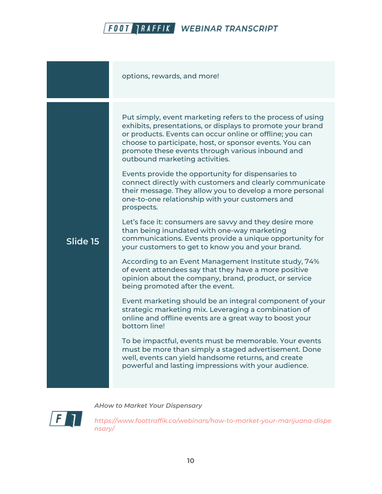|          | options, rewards, and more!                                                                                                                                                                                                                                                                                                                                                                                                                                                                                                                                                                                                                                                                                                                                                                                                                                                                                                                                                                                                                                                                                                                                                                                                                                                                                                                                                                                                                                 |
|----------|-------------------------------------------------------------------------------------------------------------------------------------------------------------------------------------------------------------------------------------------------------------------------------------------------------------------------------------------------------------------------------------------------------------------------------------------------------------------------------------------------------------------------------------------------------------------------------------------------------------------------------------------------------------------------------------------------------------------------------------------------------------------------------------------------------------------------------------------------------------------------------------------------------------------------------------------------------------------------------------------------------------------------------------------------------------------------------------------------------------------------------------------------------------------------------------------------------------------------------------------------------------------------------------------------------------------------------------------------------------------------------------------------------------------------------------------------------------|
| Slide 15 | Put simply, event marketing refers to the process of using<br>exhibits, presentations, or displays to promote your brand<br>or products. Events can occur online or offline; you can<br>choose to participate, host, or sponsor events. You can<br>promote these events through various inbound and<br>outbound marketing activities.<br>Events provide the opportunity for dispensaries to<br>connect directly with customers and clearly communicate<br>their message. They allow you to develop a more personal<br>one-to-one relationship with your customers and<br>prospects.<br>Let's face it: consumers are savvy and they desire more<br>than being inundated with one-way marketing<br>communications. Events provide a unique opportunity for<br>your customers to get to know you and your brand.<br>According to an Event Management Institute study, 74%<br>of event attendees say that they have a more positive<br>opinion about the company, brand, product, or service<br>being promoted after the event.<br>Event marketing should be an integral component of your<br>strategic marketing mix. Leveraging a combination of<br>online and offline events are a great way to boost your<br>bottom line!<br>To be impactful, events must be memorable. Your events<br>must be more than simply a staged advertisement. Done<br>well, events can yield handsome returns, and create<br>powerful and lasting impressions with your audience. |



*https://www.foottraffik.co/webinars/how-to-market-your-marijuana-dispe nsary/*

*AHow to Market Your Dispensary*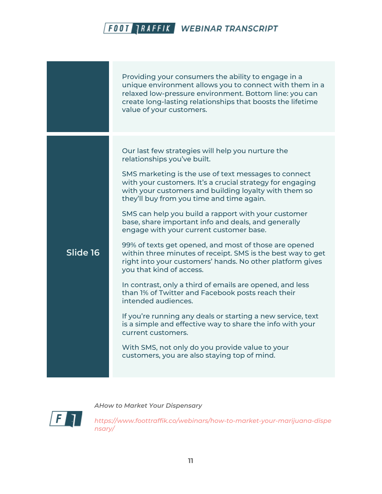|          | Providing your consumers the ability to engage in a<br>unique environment allows you to connect with them in a<br>relaxed low-pressure environment. Bottom line: you can<br>create long-lasting relationships that boosts the lifetime<br>value of your customers.                                                                                                                                                                                                                                                                                                                                                                                                                                                                                                                                                                                                                                                                                                                                                                                                                 |
|----------|------------------------------------------------------------------------------------------------------------------------------------------------------------------------------------------------------------------------------------------------------------------------------------------------------------------------------------------------------------------------------------------------------------------------------------------------------------------------------------------------------------------------------------------------------------------------------------------------------------------------------------------------------------------------------------------------------------------------------------------------------------------------------------------------------------------------------------------------------------------------------------------------------------------------------------------------------------------------------------------------------------------------------------------------------------------------------------|
| Slide 16 | Our last few strategies will help you nurture the<br>relationships you've built.<br>SMS marketing is the use of text messages to connect<br>with your customers. It's a crucial strategy for engaging<br>with your customers and building loyalty with them so<br>they'll buy from you time and time again.<br>SMS can help you build a rapport with your customer<br>base, share important info and deals, and generally<br>engage with your current customer base.<br>99% of texts get opened, and most of those are opened<br>within three minutes of receipt. SMS is the best way to get<br>right into your customers' hands. No other platform gives<br>you that kind of access.<br>In contrast, only a third of emails are opened, and less<br>than 1% of Twitter and Facebook posts reach their<br>intended audiences.<br>If you're running any deals or starting a new service, text<br>is a simple and effective way to share the info with your<br>current customers.<br>With SMS, not only do you provide value to your<br>customers, you are also staying top of mind. |



*AHow to Market Your Dispensary*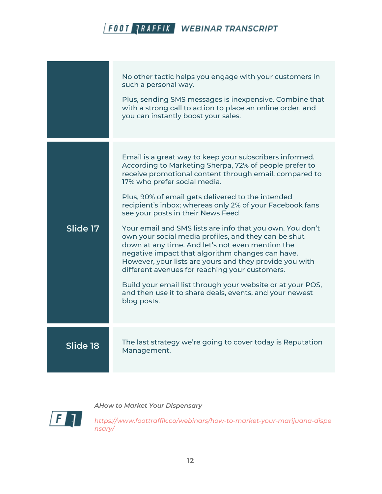|          | No other tactic helps you engage with your customers in<br>such a personal way.<br>Plus, sending SMS messages is inexpensive. Combine that<br>with a strong call to action to place an online order, and<br>you can instantly boost your sales.                                                                                                                                                                                                                                                                                                                                                                                                                                                                                                                                                                                                     |
|----------|-----------------------------------------------------------------------------------------------------------------------------------------------------------------------------------------------------------------------------------------------------------------------------------------------------------------------------------------------------------------------------------------------------------------------------------------------------------------------------------------------------------------------------------------------------------------------------------------------------------------------------------------------------------------------------------------------------------------------------------------------------------------------------------------------------------------------------------------------------|
| Slide 17 | Email is a great way to keep your subscribers informed.<br>According to Marketing Sherpa, 72% of people prefer to<br>receive promotional content through email, compared to<br>17% who prefer social media.<br>Plus, 90% of email gets delivered to the intended<br>recipient's inbox; whereas only 2% of your Facebook fans<br>see your posts in their News Feed<br>Your email and SMS lists are info that you own. You don't<br>own your social media profiles, and they can be shut<br>down at any time. And let's not even mention the<br>negative impact that algorithm changes can have.<br>However, your lists are yours and they provide you with<br>different avenues for reaching your customers.<br>Build your email list through your website or at your POS,<br>and then use it to share deals, events, and your newest<br>blog posts. |
| Slide 18 | The last strategy we're going to cover today is Reputation<br>Management.                                                                                                                                                                                                                                                                                                                                                                                                                                                                                                                                                                                                                                                                                                                                                                           |



*AHow to Market Your Dispensary*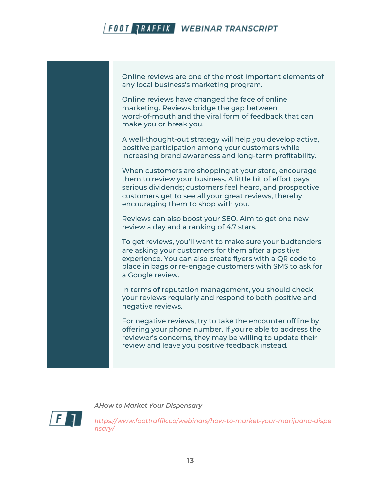Online reviews are one of the most important elements of any local business's marketing program.

Online reviews have changed the face of online marketing. Reviews bridge the gap between word-of-mouth and the viral form of feedback that can make you or break you.

A well-thought-out strategy will help you develop active, positive participation among your customers while increasing brand awareness and long-term profitability.

When customers are shopping at your store, encourage them to review your business. A little bit of effort pays serious dividends; customers feel heard, and prospective customers get to see all your great reviews, thereby encouraging them to shop with you.

Reviews can also boost your SEO. Aim to get one new review a day and a ranking of 4.7 stars.

To get reviews, you'll want to make sure your budtenders are asking your customers for them after a positive experience. You can also create flyers with a QR code to place in bags or re-engage customers with SMS to ask for a Google review.

In terms of reputation management, you should check your reviews regularly and respond to both positive and negative reviews.

For negative reviews, try to take the encounter offline by offering your phone number. If you're able to address the reviewer's concerns, they may be willing to update their review and leave you positive feedback instead.



*AHow to Market Your Dispensary*